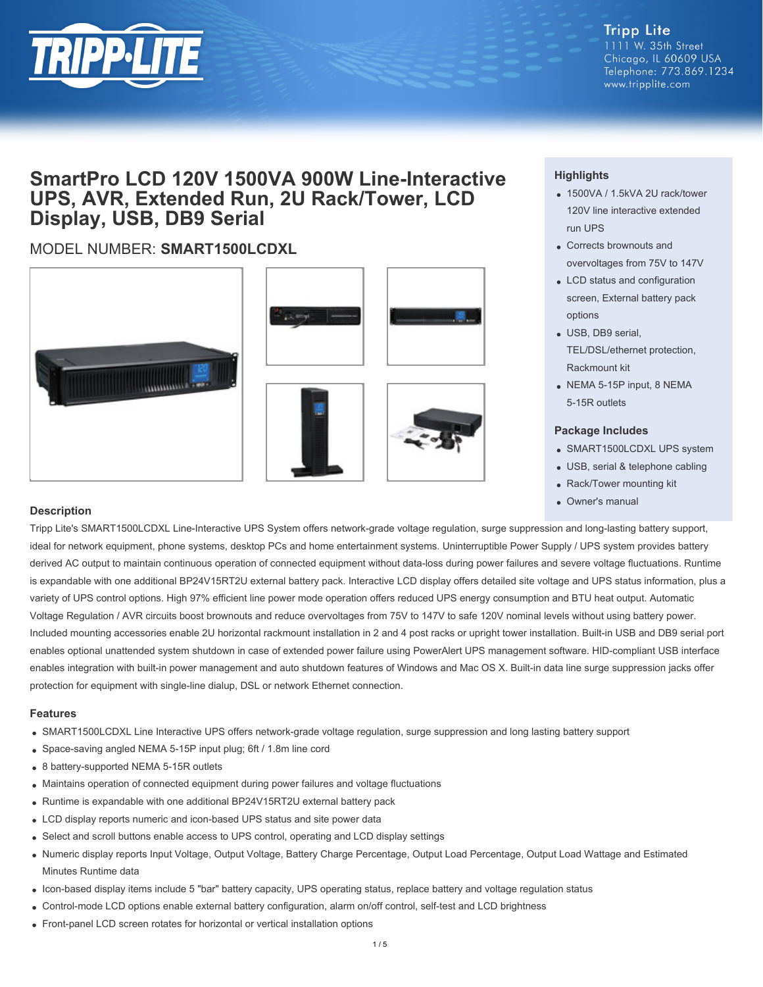

**Tripp Lite** 1111 W. 35th Street Chicago, IL 60609 USA Telephone: 773.869.1234 www.tripplite.com

## **SmartPro LCD 120V 1500VA 900W Line-Interactive UPS, AVR, Extended Run, 2U Rack/Tower, LCD Display, USB, DB9 Serial**

### MODEL NUMBER: **SMART1500LCDXL**







#### **Highlights**

- 1500VA / 1.5kVA 2U rack/tower 120V line interactive extended run UPS
- Corrects brownouts and overvoltages from 75V to 147V
- LCD status and configuration screen, External battery pack options
- USB, DB9 serial, TEL/DSL/ethernet protection, Rackmount kit
- NEMA 5-15P input, 8 NEMA 5-15R outlets

#### **Package Includes**

- SMART1500LCDXL UPS system
- USB, serial & telephone cabling
- Rack/Tower mounting kit
- Owner's manual

#### **Description**

Tripp Lite's SMART1500LCDXL Line-Interactive UPS System offers network-grade voltage regulation, surge suppression and long-lasting battery support, ideal for network equipment, phone systems, desktop PCs and home entertainment systems. Uninterruptible Power Supply / UPS system provides battery derived AC output to maintain continuous operation of connected equipment without data-loss during power failures and severe voltage fluctuations. Runtime is expandable with one additional BP24V15RT2U external battery pack. Interactive LCD display offers detailed site voltage and UPS status information, plus a variety of UPS control options. High 97% efficient line power mode operation offers reduced UPS energy consumption and BTU heat output. Automatic Voltage Regulation / AVR circuits boost brownouts and reduce overvoltages from 75V to 147V to safe 120V nominal levels without using battery power. Included mounting accessories enable 2U horizontal rackmount installation in 2 and 4 post racks or upright tower installation. Built-in USB and DB9 serial port enables optional unattended system shutdown in case of extended power failure using PowerAlert UPS management software. HID-compliant USB interface enables integration with built-in power management and auto shutdown features of Windows and Mac OS X. Built-in data line surge suppression jacks offer protection for equipment with single-line dialup, DSL or network Ethernet connection.

#### **Features**

- SMART1500LCDXL Line Interactive UPS offers network-grade voltage regulation, surge suppression and long lasting battery support
- Space-saving angled NEMA 5-15P input plug; 6ft / 1.8m line cord
- 8 battery-supported NEMA 5-15R outlets
- Maintains operation of connected equipment during power failures and voltage fluctuations
- Runtime is expandable with one additional BP24V15RT2U external battery pack
- LCD display reports numeric and icon-based UPS status and site power data
- Select and scroll buttons enable access to UPS control, operating and LCD display settings
- Numeric display reports Input Voltage, Output Voltage, Battery Charge Percentage, Output Load Percentage, Output Load Wattage and Estimated Minutes Runtime data
- Icon-based display items include 5 "bar" battery capacity, UPS operating status, replace battery and voltage regulation status
- Control-mode LCD options enable external battery configuration, alarm on/off control, self-test and LCD brightness
- Front-panel LCD screen rotates for horizontal or vertical installation options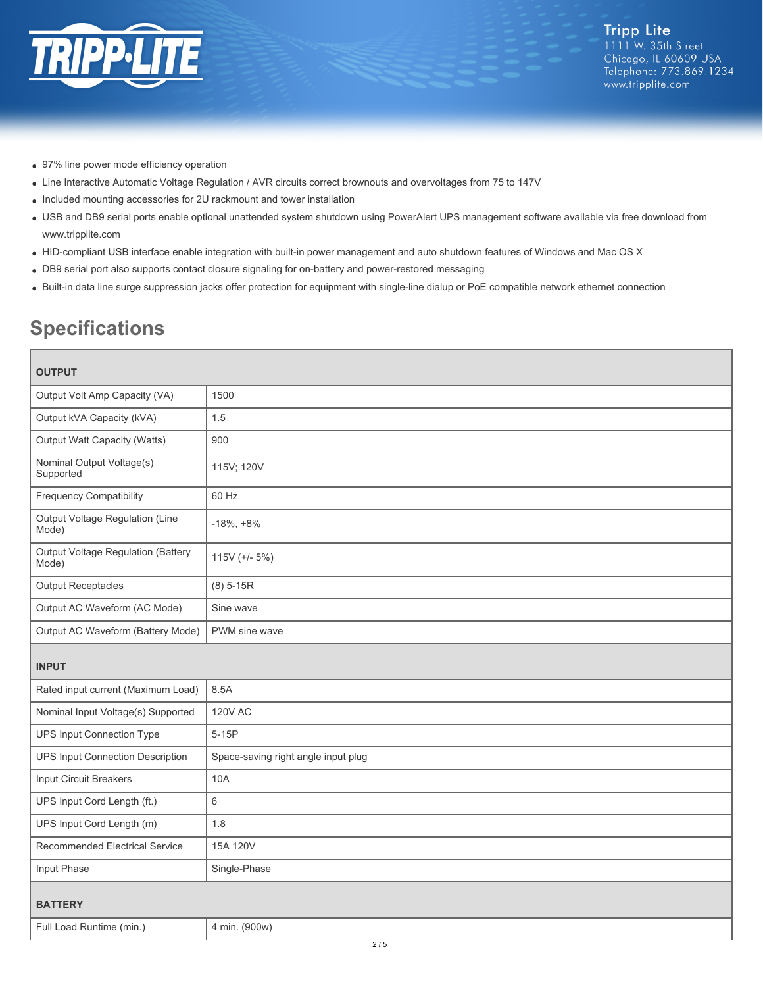

- 97% line power mode efficiency operation
- Line Interactive Automatic Voltage Regulation / AVR circuits correct brownouts and overvoltages from 75 to 147V
- Included mounting accessories for 2U rackmount and tower installation
- USB and DB9 serial ports enable optional unattended system shutdown using PowerAlert UPS management software available via free download from www.tripplite.com
- HID-compliant USB interface enable integration with built-in power management and auto shutdown features of Windows and Mac OS X
- DB9 serial port also supports contact closure signaling for on-battery and power-restored messaging
- Built-in data line surge suppression jacks offer protection for equipment with single-line dialup or PoE compatible network ethernet connection

# **Specifications**

| <b>OUTPUT</b>                               |                                     |  |
|---------------------------------------------|-------------------------------------|--|
| Output Volt Amp Capacity (VA)               | 1500                                |  |
| Output kVA Capacity (kVA)                   | 1.5                                 |  |
| Output Watt Capacity (Watts)                | 900                                 |  |
| Nominal Output Voltage(s)<br>Supported      | 115V; 120V                          |  |
| <b>Frequency Compatibility</b>              | 60 Hz                               |  |
| Output Voltage Regulation (Line<br>Mode)    | $-18\%, +8\%$                       |  |
| Output Voltage Regulation (Battery<br>Mode) | 115V (+/- $5\%$ )                   |  |
| <b>Output Receptacles</b>                   | $(8) 5 - 15R$                       |  |
| Output AC Waveform (AC Mode)                | Sine wave                           |  |
| Output AC Waveform (Battery Mode)           | PWM sine wave                       |  |
| <b>INPUT</b>                                |                                     |  |
|                                             |                                     |  |
| Rated input current (Maximum Load)          | 8.5A                                |  |
| Nominal Input Voltage(s) Supported          | <b>120V AC</b>                      |  |
| UPS Input Connection Type                   | $5-15P$                             |  |
| UPS Input Connection Description            | Space-saving right angle input plug |  |
| Input Circuit Breakers                      | 10A                                 |  |
| UPS Input Cord Length (ft.)                 | $6\phantom{1}$                      |  |
| UPS Input Cord Length (m)                   | 1.8                                 |  |
| Recommended Electrical Service              | 15A 120V                            |  |
| Input Phase                                 | Single-Phase                        |  |
| <b>BATTERY</b>                              |                                     |  |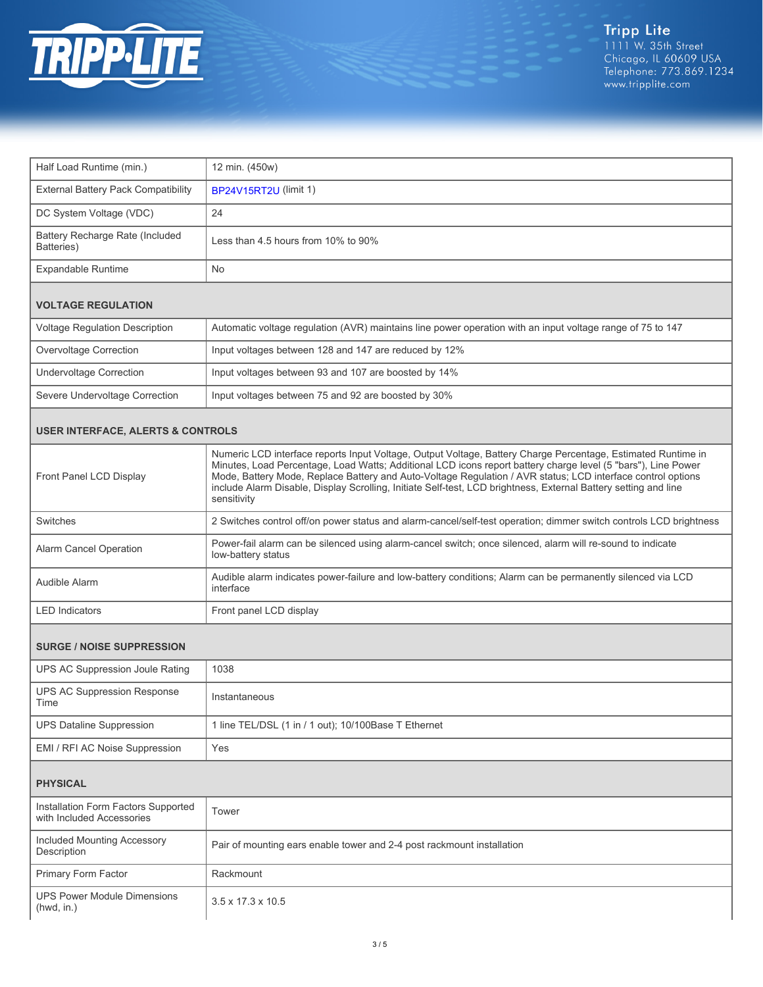

| Half Load Runtime (min.)                                         | 12 min. (450w)                                                                                                                                                                                                                                                                                                                                                                                                                                                                 |  |  |
|------------------------------------------------------------------|--------------------------------------------------------------------------------------------------------------------------------------------------------------------------------------------------------------------------------------------------------------------------------------------------------------------------------------------------------------------------------------------------------------------------------------------------------------------------------|--|--|
| External Battery Pack Compatibility                              | BP24V15RT2U (limit 1)                                                                                                                                                                                                                                                                                                                                                                                                                                                          |  |  |
| DC System Voltage (VDC)                                          | 24                                                                                                                                                                                                                                                                                                                                                                                                                                                                             |  |  |
| Battery Recharge Rate (Included<br>Batteries)                    | Less than 4.5 hours from 10% to 90%                                                                                                                                                                                                                                                                                                                                                                                                                                            |  |  |
| <b>Expandable Runtime</b>                                        | <b>No</b>                                                                                                                                                                                                                                                                                                                                                                                                                                                                      |  |  |
| <b>VOLTAGE REGULATION</b>                                        |                                                                                                                                                                                                                                                                                                                                                                                                                                                                                |  |  |
| Voltage Regulation Description                                   | Automatic voltage regulation (AVR) maintains line power operation with an input voltage range of 75 to 147                                                                                                                                                                                                                                                                                                                                                                     |  |  |
| Overvoltage Correction                                           | Input voltages between 128 and 147 are reduced by 12%                                                                                                                                                                                                                                                                                                                                                                                                                          |  |  |
| <b>Undervoltage Correction</b>                                   | Input voltages between 93 and 107 are boosted by 14%                                                                                                                                                                                                                                                                                                                                                                                                                           |  |  |
| Severe Undervoltage Correction                                   | Input voltages between 75 and 92 are boosted by 30%                                                                                                                                                                                                                                                                                                                                                                                                                            |  |  |
| <b>USER INTERFACE, ALERTS &amp; CONTROLS</b>                     |                                                                                                                                                                                                                                                                                                                                                                                                                                                                                |  |  |
| Front Panel LCD Display                                          | Numeric LCD interface reports Input Voltage, Output Voltage, Battery Charge Percentage, Estimated Runtime in<br>Minutes, Load Percentage, Load Watts; Additional LCD icons report battery charge level (5 "bars"), Line Power<br>Mode, Battery Mode, Replace Battery and Auto-Voltage Regulation / AVR status; LCD interface control options<br>include Alarm Disable, Display Scrolling, Initiate Self-test, LCD brightness, External Battery setting and line<br>sensitivity |  |  |
| Switches                                                         | 2 Switches control off/on power status and alarm-cancel/self-test operation; dimmer switch controls LCD brightness                                                                                                                                                                                                                                                                                                                                                             |  |  |
| Alarm Cancel Operation                                           | Power-fail alarm can be silenced using alarm-cancel switch; once silenced, alarm will re-sound to indicate<br>low-battery status                                                                                                                                                                                                                                                                                                                                               |  |  |
| Audible Alarm                                                    | Audible alarm indicates power-failure and low-battery conditions; Alarm can be permanently silenced via LCD<br>interface                                                                                                                                                                                                                                                                                                                                                       |  |  |
| <b>LED</b> Indicators                                            | Front panel LCD display                                                                                                                                                                                                                                                                                                                                                                                                                                                        |  |  |
| <b>SURGE / NOISE SUPPRESSION</b>                                 |                                                                                                                                                                                                                                                                                                                                                                                                                                                                                |  |  |
| UPS AC Suppression Joule Rating                                  | 1038                                                                                                                                                                                                                                                                                                                                                                                                                                                                           |  |  |
| <b>UPS AC Suppression Response</b><br>Time                       | Instantaneous                                                                                                                                                                                                                                                                                                                                                                                                                                                                  |  |  |
| <b>UPS Dataline Suppression</b>                                  | 1 line TEL/DSL (1 in / 1 out); 10/100Base T Ethernet                                                                                                                                                                                                                                                                                                                                                                                                                           |  |  |
| EMI / RFI AC Noise Suppression                                   | Yes                                                                                                                                                                                                                                                                                                                                                                                                                                                                            |  |  |
| <b>PHYSICAL</b>                                                  |                                                                                                                                                                                                                                                                                                                                                                                                                                                                                |  |  |
| Installation Form Factors Supported<br>with Included Accessories | Tower                                                                                                                                                                                                                                                                                                                                                                                                                                                                          |  |  |
| Included Mounting Accessory<br>Description                       | Pair of mounting ears enable tower and 2-4 post rackmount installation                                                                                                                                                                                                                                                                                                                                                                                                         |  |  |
| Primary Form Factor                                              | Rackmount                                                                                                                                                                                                                                                                                                                                                                                                                                                                      |  |  |
| <b>UPS Power Module Dimensions</b><br>(hwd, in.)                 | 3.5 x 17.3 x 10.5                                                                                                                                                                                                                                                                                                                                                                                                                                                              |  |  |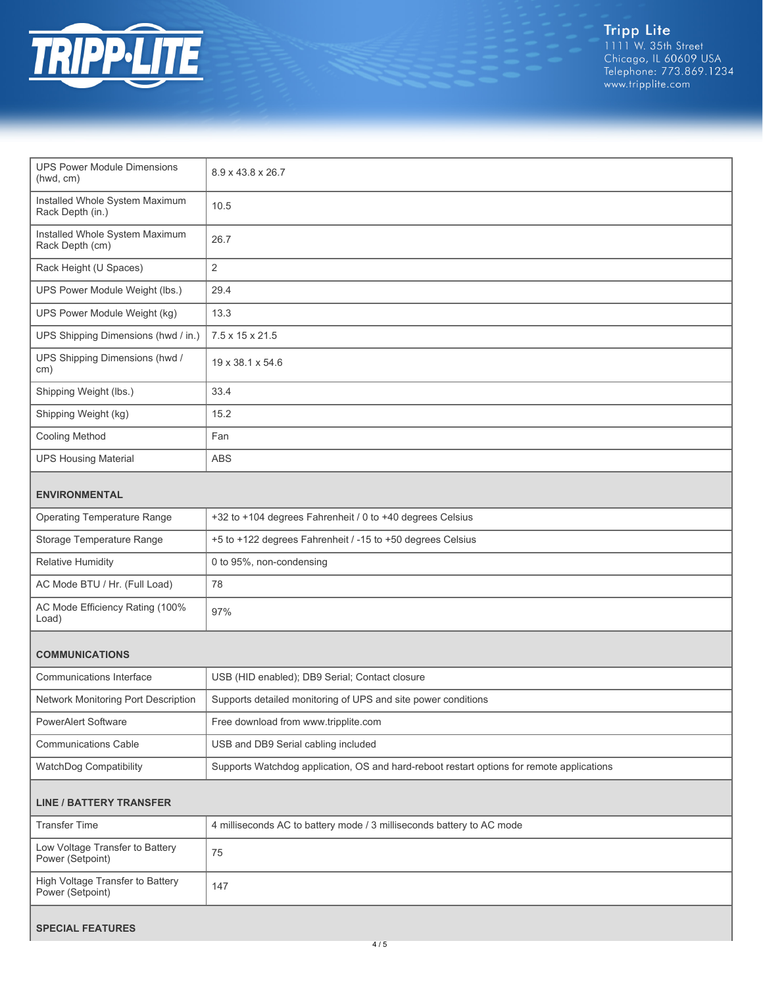

Tripp Lite<br>1111 W. 35th Street<br>Chicago, IL 60609 USA<br>Telephone: 773.869.1234<br>www.tripplite.com

| <b>UPS Power Module Dimensions</b><br>(hwd, cm)      | 8.9 x 43.8 x 26.7                                                                         |  |
|------------------------------------------------------|-------------------------------------------------------------------------------------------|--|
| Installed Whole System Maximum<br>Rack Depth (in.)   | 10.5                                                                                      |  |
| Installed Whole System Maximum<br>Rack Depth (cm)    | 26.7                                                                                      |  |
| Rack Height (U Spaces)                               | $\overline{2}$                                                                            |  |
| UPS Power Module Weight (lbs.)                       | 29.4                                                                                      |  |
| UPS Power Module Weight (kg)                         | 13.3                                                                                      |  |
| UPS Shipping Dimensions (hwd / in.)                  | 7.5 x 15 x 21.5                                                                           |  |
| UPS Shipping Dimensions (hwd /<br>cm)                | 19 x 38.1 x 54.6                                                                          |  |
| Shipping Weight (lbs.)                               | 33.4                                                                                      |  |
| Shipping Weight (kg)                                 | 15.2                                                                                      |  |
| <b>Cooling Method</b>                                | Fan                                                                                       |  |
| <b>UPS Housing Material</b>                          | <b>ABS</b>                                                                                |  |
| <b>ENVIRONMENTAL</b>                                 |                                                                                           |  |
| <b>Operating Temperature Range</b>                   | +32 to +104 degrees Fahrenheit / 0 to +40 degrees Celsius                                 |  |
| Storage Temperature Range                            | +5 to +122 degrees Fahrenheit / -15 to +50 degrees Celsius                                |  |
| <b>Relative Humidity</b>                             | 0 to 95%, non-condensing                                                                  |  |
| AC Mode BTU / Hr. (Full Load)                        | 78                                                                                        |  |
| AC Mode Efficiency Rating (100%<br>Load)             | 97%                                                                                       |  |
| <b>COMMUNICATIONS</b>                                |                                                                                           |  |
| Communications Interface                             | USB (HID enabled); DB9 Serial; Contact closure                                            |  |
| Network Monitoring Port Description                  | Supports detailed monitoring of UPS and site power conditions                             |  |
| <b>PowerAlert Software</b>                           | Free download from www.tripplite.com                                                      |  |
| <b>Communications Cable</b>                          | USB and DB9 Serial cabling included                                                       |  |
| WatchDog Compatibility                               | Supports Watchdog application, OS and hard-reboot restart options for remote applications |  |
| <b>LINE / BATTERY TRANSFER</b>                       |                                                                                           |  |
| <b>Transfer Time</b>                                 | 4 milliseconds AC to battery mode / 3 milliseconds battery to AC mode                     |  |
| Low Voltage Transfer to Battery<br>Power (Setpoint)  | 75                                                                                        |  |
| High Voltage Transfer to Battery<br>Power (Setpoint) | 147                                                                                       |  |
|                                                      |                                                                                           |  |

#### **SPECIAL FEATURES**